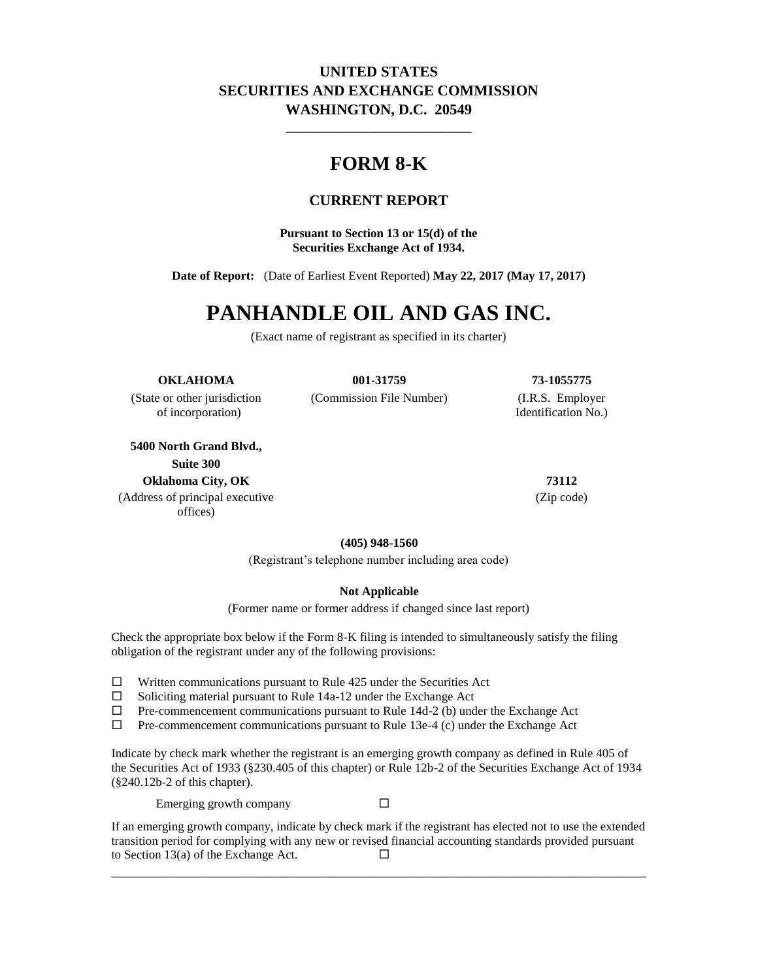## **UNITED STATES SECURITIES AND EXCHANGE COMMISSION WASHINGTON, D.C. 20549**

\_\_\_\_\_\_\_\_\_\_\_\_\_\_\_\_\_\_\_\_\_\_\_\_\_

## **FORM 8-K**

## **CURRENT REPORT**

**Pursuant to Section 13 or 15(d) of the Securities Exchange Act of 1934.**

**Date of Report:** (Date of Earliest Event Reported) **May 22, 2017 (May 17, 2017)**

# **PANHANDLE OIL AND GAS INC.**

(Exact name of registrant as specified in its charter)

#### **OKLAHOMA 001-31759 73-1055775**

of incorporation) Identification No.)

**5400 North Grand Blvd., Suite 300 Oklahoma City, OK 73112**

(Address of principal executive offices)

(State or other jurisdiction (Commission File Number) (I.R.S. Employer

(Zip code)

**(405) 948-1560**

(Registrant's telephone number including area code)

#### **Not Applicable**

(Former name or former address if changed since last report)

Check the appropriate box below if the Form 8-K filing is intended to simultaneously satisfy the filing obligation of the registrant under any of the following provisions:

- $\Box$  Written communications pursuant to Rule 425 under the Securities Act
- $\square$  Soliciting material pursuant to Rule 14a-12 under the Exchange Act  $\square$  Pre-commencement communications pursuant to Rule 14d-2 (b) und
- Pre-commencement communications pursuant to Rule 14d-2 (b) under the Exchange Act
- $\Box$  Pre-commencement communications pursuant to Rule 13e-4 (c) under the Exchange Act

Indicate by check mark whether the registrant is an emerging growth company as defined in Rule 405 of the Securities Act of 1933 (§230.405 of this chapter) or Rule 12b-2 of the Securities Exchange Act of 1934 (§240.12b-2 of this chapter).

Emerging growth company  $\square$ 

If an emerging growth company, indicate by check mark if the registrant has elected not to use the extended transition period for complying with any new or revised financial accounting standards provided pursuant to Section 13(a) of the Exchange Act.  $\Box$ 

\_\_\_\_\_\_\_\_\_\_\_\_\_\_\_\_\_\_\_\_\_\_\_\_\_\_\_\_\_\_\_\_\_\_\_\_\_\_\_\_\_\_\_\_\_\_\_\_\_\_\_\_\_\_\_\_\_\_\_\_\_\_\_\_\_\_\_\_\_\_\_\_